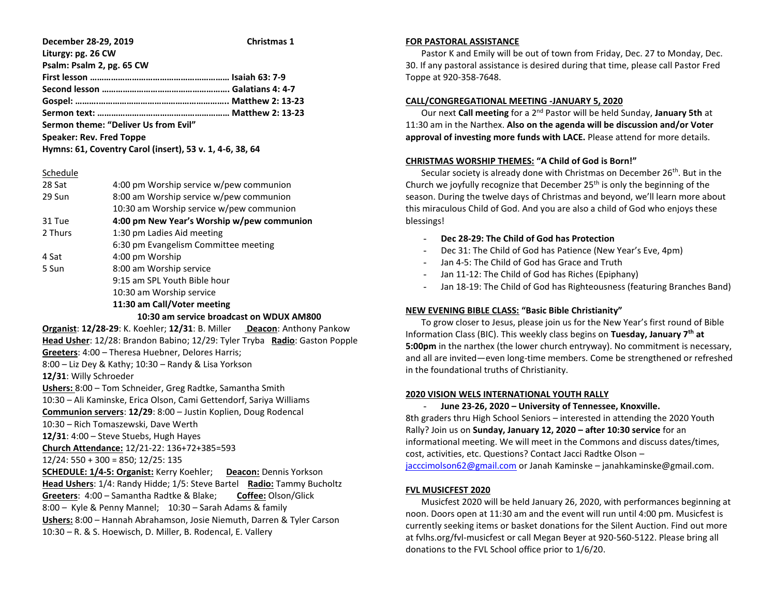**December 28-29, 2019 Christmas 1 Liturgy: pg. 26 CW Psalm: Psalm 2, pg. 65 CW First lesson …………………………………………………… Isaiah 63: 7-9 Second lesson ………………………………………………. Galatians 4: 4-7 Gospel: ……….……………………………………………….. Matthew 2: 13-23 Sermon text: ………………………………………………… Matthew 2: 13-23 Sermon theme: "Deliver Us from Evil" Speaker: Rev. Fred Toppe Hymns: 61, Coventry Carol (insert), 53 v. 1, 4-6, 38, 64**

#### Schedule

| 28 Sat  | 4:00 pm Worship service w/pew communion    |
|---------|--------------------------------------------|
| 29 Sun  | 8:00 am Worship service w/pew communion    |
|         | 10:30 am Worship service w/pew communion   |
| 31 Tue  | 4:00 pm New Year's Worship w/pew communion |
| 2 Thurs | 1:30 pm Ladies Aid meeting                 |
|         | 6:30 pm Evangelism Committee meeting       |
| 4 Sat   | 4:00 pm Worship                            |
| 5 Sun   | 8:00 am Worship service                    |
|         | 9:15 am SPL Youth Bible hour               |
|         | 10:30 am Worship service                   |
|         | 11:30 am Call/Voter meeting                |

#### **10:30 am service broadcast on WDUX AM800**

**Organist**: **12/28-29**: K. Koehler; **12/31**: B. Miller **Deacon**: Anthony Pankow **Head Usher**: 12/28: Brandon Babino; 12/29: Tyler Tryba **Radio**: Gaston Popple **Greeters**: 4:00 – Theresa Huebner, Delores Harris; 8:00 – Liz Dey & Kathy; 10:30 – Randy & Lisa Yorkson **12/31**: Willy Schroeder **Ushers:** 8:00 – Tom Schneider, Greg Radtke, Samantha Smith 10:30 – Ali Kaminske, Erica Olson, Cami Gettendorf, Sariya Williams **Communion servers**: **12/29**: 8:00 – Justin Koplien, Doug Rodencal 10:30 – Rich Tomaszewski, Dave Werth **12/31**: 4:00 – Steve Stuebs, Hugh Hayes **Church Attendance:** 12/21-22: 136+72+385=593 12/24: 550 + 300 = 850; 12/25: 135 **SCHEDULE: 1/4-5: Organist:** Kerry Koehler; **Deacon:** Dennis Yorkson **Head Ushers**: 1/4: Randy Hidde; 1/5: Steve Bartel **Radio:** Tammy Bucholtz **Greeters**: 4:00 – Samantha Radtke & Blake; **Coffee:** Olson/Glick 8:00 – Kyle & Penny Mannel; 10:30 – Sarah Adams & family **Ushers:** 8:00 – Hannah Abrahamson, Josie Niemuth, Darren & Tyler Carson 10:30 – R. & S. Hoewisch, D. Miller, B. Rodencal, E. Vallery

### **FOR PASTORAL ASSISTANCE**

 Pastor K and Emily will be out of town from Friday, Dec. 27 to Monday, Dec. 30. If any pastoral assistance is desired during that time, please call Pastor Fred Toppe at 920-358-7648.

## **CALL/CONGREGATIONAL MEETING -JANUARY 5, 2020**

 Our next **Call meeting** for a 2nd Pastor will be held Sunday, **January 5th** at 11:30 am in the Narthex. **Also on the agenda will be discussion and/or Voter approval of investing more funds with LACE.** Please attend for more details.

#### **CHRISTMAS WORSHIP THEMES: "A Child of God is Born!"**

Secular society is already done with Christmas on December 26<sup>th</sup>. But in the Church we joyfully recognize that December 25th is only the beginning of the season. During the twelve days of Christmas and beyond, we'll learn more about this miraculous Child of God. And you are also a child of God who enjoys these blessings!

- **Dec 28-29: The Child of God has Protection**
- Dec 31: The Child of God has Patience (New Year's Eve, 4pm)
- Jan 4-5: The Child of God has Grace and Truth
- Jan 11-12: The Child of God has Riches (Epiphany)
- Jan 18-19: The Child of God has Righteousness (featuring Branches Band)

## **NEW EVENING BIBLE CLASS: "Basic Bible Christianity"**

 To grow closer to Jesus, please join us for the New Year's first round of Bible Information Class (BIC). This weekly class begins on **Tuesday, January 7th at 5:00pm** in the narthex (the lower church entryway). No commitment is necessary, and all are invited—even long-time members. Come be strengthened or refreshed in the foundational truths of Christianity.

## **2020 VISION WELS INTERNATIONAL YOUTH RALLY**

# - **June 23-26, 2020 – University of Tennessee, Knoxville.**

8th graders thru High School Seniors – interested in attending the 2020 Youth Rally? Join us on **Sunday, January 12, 2020 – after 10:30 service** for an informational meeting. We will meet in the Commons and discuss dates/times, cost, activities, etc. Questions? Contact Jacci Radtke Olson – [jacccimolson62@gmail.com](mailto:jacccimolson62@gmail.com) or Janah Kaminske – janahkaminske@gmail.com.

#### **FVL MUSICFEST 2020**

 Musicfest 2020 will be held January 26, 2020, with performances beginning at noon. Doors open at 11:30 am and the event will run until 4:00 pm. Musicfest is currently seeking items or basket donations for the Silent Auction. Find out more at fvlhs.org/fvl-musicfest or call Megan Beyer at 920-560-5122. Please bring all donations to the FVL School office prior to 1/6/20.